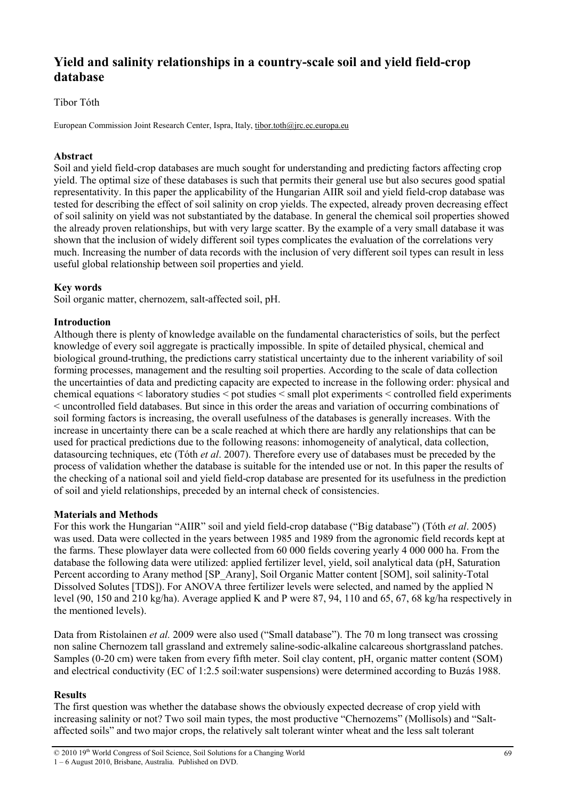# **Yield and salinity relationships in a country-scale soil and yield field-crop database**

## Tibor Tóth

European Commission Joint Research Center, Ispra, Italy, tibor.toth@jrc.ec.europa.eu

## **Abstract**

Soil and yield field-crop databases are much sought for understanding and predicting factors affecting crop yield. The optimal size of these databases is such that permits their general use but also secures good spatial representativity. In this paper the applicability of the Hungarian AIIR soil and yield field-crop database was tested for describing the effect of soil salinity on crop yields. The expected, already proven decreasing effect of soil salinity on yield was not substantiated by the database. In general the chemical soil properties showed the already proven relationships, but with very large scatter. By the example of a very small database it was shown that the inclusion of widely different soil types complicates the evaluation of the correlations very much. Increasing the number of data records with the inclusion of very different soil types can result in less useful global relationship between soil properties and yield.

## **Key words**

Soil organic matter, chernozem, salt-affected soil, pH.

## **Introduction**

Although there is plenty of knowledge available on the fundamental characteristics of soils, but the perfect knowledge of every soil aggregate is practically impossible. In spite of detailed physical, chemical and biological ground-truthing, the predictions carry statistical uncertainty due to the inherent variability of soil forming processes, management and the resulting soil properties. According to the scale of data collection the uncertainties of data and predicting capacity are expected to increase in the following order: physical and chemical equations < laboratory studies < pot studies < small plot experiments < controlled field experiments < uncontrolled field databases. But since in this order the areas and variation of occurring combinations of soil forming factors is increasing, the overall usefulness of the databases is generally increases. With the increase in uncertainty there can be a scale reached at which there are hardly any relationships that can be used for practical predictions due to the following reasons: inhomogeneity of analytical, data collection, datasourcing techniques, etc (Tóth *et al*. 2007). Therefore every use of databases must be preceded by the process of validation whether the database is suitable for the intended use or not. In this paper the results of the checking of a national soil and yield field-crop database are presented for its usefulness in the prediction of soil and yield relationships, preceded by an internal check of consistencies.

## **Materials and Methods**

For this work the Hungarian "AIIR" soil and yield field-crop database ("Big database") (Tóth *et al*. 2005) was used. Data were collected in the years between 1985 and 1989 from the agronomic field records kept at the farms. These plowlayer data were collected from 60 000 fields covering yearly 4 000 000 ha. From the database the following data were utilized: applied fertilizer level, yield, soil analytical data (pH, Saturation Percent according to Arany method [SP\_Arany], Soil Organic Matter content [SOM], soil salinity-Total Dissolved Solutes [TDS]). For ANOVA three fertilizer levels were selected, and named by the applied N level (90, 150 and 210 kg/ha). Average applied K and P were 87, 94, 110 and 65, 67, 68 kg/ha respectively in the mentioned levels).

Data from Ristolainen *et al.* 2009 were also used ("Small database"). The 70 m long transect was crossing non saline Chernozem tall grassland and extremely saline-sodic-alkaline calcareous shortgrassland patches. Samples (0-20 cm) were taken from every fifth meter. Soil clay content, pH, organic matter content (SOM) and electrical conductivity (EC of 1:2.5 soil:water suspensions) were determined according to Buzás 1988.

## **Results**

The first question was whether the database shows the obviously expected decrease of crop yield with increasing salinity or not? Two soil main types, the most productive "Chernozems" (Mollisols) and "Saltaffected soils" and two major crops, the relatively salt tolerant winter wheat and the less salt tolerant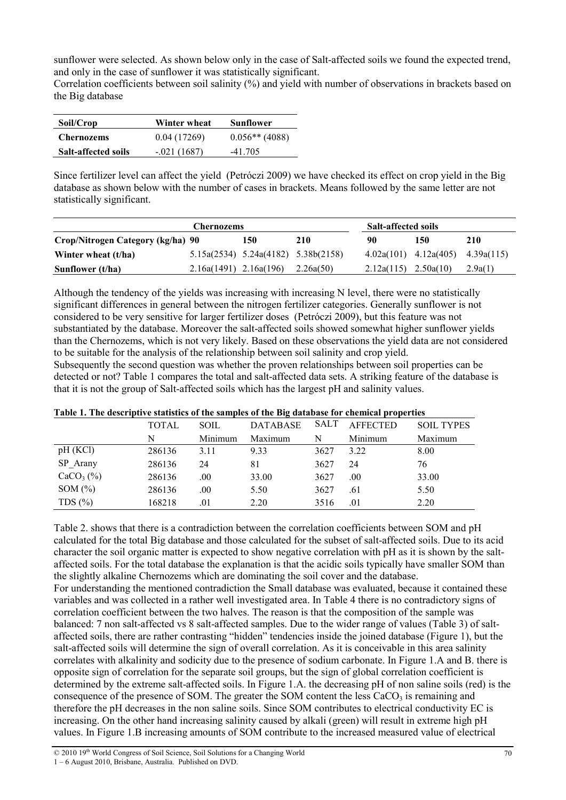sunflower were selected. As shown below only in the case of Salt-affected soils we found the expected trend, and only in the case of sunflower it was statistically significant.

Correlation coefficients between soil salinity (%) and yield with number of observations in brackets based on the Big database

| Soil/Crop                  | Winter wheat  | Sunflower        |
|----------------------------|---------------|------------------|
| <b>Chernozems</b>          | 0.04(17269)   | $0.056**$ (4088) |
| <b>Salt-affected soils</b> | $-.021(1687)$ | $-41.705$        |

Since fertilizer level can affect the yield (Petróczi 2009) we have checked its effect on crop yield in the Big database as shown below with the number of cases in brackets. Means followed by the same letter are not statistically significant.

| <b>Chernozems</b>                 |                            |                                           |           | <b>Salt-affected soils</b> |                           |            |
|-----------------------------------|----------------------------|-------------------------------------------|-----------|----------------------------|---------------------------|------------|
| Crop/Nitrogen Category (kg/ha) 90 |                            | 150                                       | 210       | 90                         | 150                       | 210        |
| Winter wheat (t/ha)               |                            | $5.15a(2534)$ $5.24a(4182)$ $5.38b(2158)$ |           |                            | $4.02a(101)$ $4.12a(405)$ | 4.39a(115) |
| Sunflower (t/ha)                  | $2.16a(1491)$ $2.16a(196)$ |                                           | 2.26a(50) | $2.12a(115)$ $2.50a(10)$   |                           | 2.9a(1)    |

Although the tendency of the yields was increasing with increasing N level, there were no statistically significant differences in general between the nitrogen fertilizer categories. Generally sunflower is not considered to be very sensitive for larger fertilizer doses (Petróczi 2009), but this feature was not substantiated by the database. Moreover the salt-affected soils showed somewhat higher sunflower yields than the Chernozems, which is not very likely. Based on these observations the yield data are not considered to be suitable for the analysis of the relationship between soil salinity and crop yield.

Subsequently the second question was whether the proven relationships between soil properties can be detected or not? Table 1 compares the total and salt-affected data sets. A striking feature of the database is that it is not the group of Salt-affected soils which has the largest pH and salinity values.

| Tubit It The activities such the of the sumples of the Dig unusually for enchanged by operates |              |         |                 |             |                 |                   |
|------------------------------------------------------------------------------------------------|--------------|---------|-----------------|-------------|-----------------|-------------------|
|                                                                                                | <b>TOTAL</b> | SOIL    | <b>DATABASE</b> | <b>SALT</b> | <b>AFFECTED</b> | <b>SOIL TYPES</b> |
|                                                                                                | N            | Minimum | Maximum         | N           | Minimum         | Maximum           |
| pH(KCl)                                                                                        | 286136       | 3.11    | 9.33            | 3627        | 3.22            | 8.00              |
| SP Arany                                                                                       | 286136       | 24      | 81              | 3627        | 24              | 76                |
| $CaCO3(\%)$                                                                                    | 286136       | .00     | 33.00           | 3627        | .00.            | 33.00             |
| SOM $(\%)$                                                                                     | 286136       | .00     | 5.50            | 3627        | .61             | 5.50              |
| TDS $(\% )$                                                                                    | 168218       | .01     | 2.20            | 3516        | .01             | 2.20              |

## **Table 1. The descriptive statistics of the samples of the Big database for chemical properties**

Table 2. shows that there is a contradiction between the correlation coefficients between SOM and pH calculated for the total Big database and those calculated for the subset of salt-affected soils. Due to its acid character the soil organic matter is expected to show negative correlation with pH as it is shown by the saltaffected soils. For the total database the explanation is that the acidic soils typically have smaller SOM than the slightly alkaline Chernozems which are dominating the soil cover and the database. For understanding the mentioned contradiction the Small database was evaluated, because it contained these variables and was collected in a rather well investigated area. In Table 4 there is no contradictory signs of correlation coefficient between the two halves. The reason is that the composition of the sample was balanced: 7 non salt-affected vs 8 salt-affected samples. Due to the wider range of values (Table 3) of saltaffected soils, there are rather contrasting "hidden" tendencies inside the joined database (Figure 1), but the salt-affected soils will determine the sign of overall correlation. As it is conceivable in this area salinity correlates with alkalinity and sodicity due to the presence of sodium carbonate. In Figure 1.A and B. there is opposite sign of correlation for the separate soil groups, but the sign of global correlation coefficient is determined by the extreme salt-affected soils. In Figure 1.A. the decreasing pH of non saline soils (red) is the consequence of the presence of SOM. The greater the SOM content the less  $CaCO<sub>3</sub>$  is remaining and therefore the pH decreases in the non saline soils. Since SOM contributes to electrical conductivity EC is increasing. On the other hand increasing salinity caused by alkali (green) will result in extreme high pH values. In Figure 1.B increasing amounts of SOM contribute to the increased measured value of electrical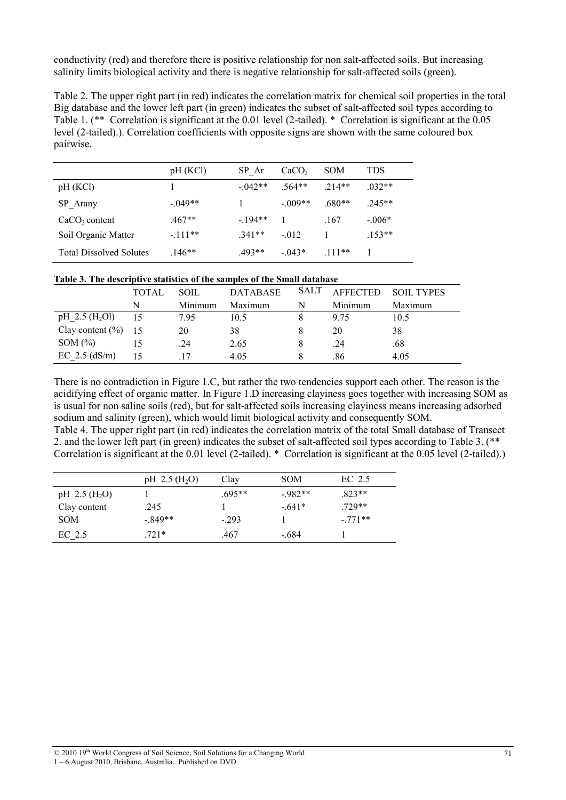conductivity (red) and therefore there is positive relationship for non salt-affected soils. But increasing salinity limits biological activity and there is negative relationship for salt-affected soils (green).

Table 2. The upper right part (in red) indicates the correlation matrix for chemical soil properties in the total Big database and the lower left part (in green) indicates the subset of salt-affected soil types according to Table 1. (\*\* Correlation is significant at the 0.01 level (2-tailed). \* Correlation is significant at the 0.05 level (2-tailed).). Correlation coefficients with opposite signs are shown with the same coloured box pairwise.

|                                | pH(KCl)    | SP Ar    | CaCO <sub>3</sub> | <b>SOM</b> | TDS      |
|--------------------------------|------------|----------|-------------------|------------|----------|
| pH (KCI)                       |            | $-042**$ | 564**             | $214**$    | $.032**$ |
| SP Arany                       | $-0.049**$ |          | $-.009**$         | $.680**$   | $.245**$ |
| $CaCO3$ content                | $.467**$   | $-194**$ |                   | .167       | $-.006*$ |
| Soil Organic Matter            | $-111**$   | $341**$  | $-0.012$          |            | $.153**$ |
| <b>Total Dissolved Solutes</b> | $.146**$   | $.493**$ | $-0.043*$         | $111**$    |          |

#### **Table 3. The descriptive statistics of the samples of the Small database**

|                              | TOTAL | SOIL    | <b>DATABASE</b> |   | SALT AFFECTED | <b>SOIL TYPES</b> |
|------------------------------|-------|---------|-----------------|---|---------------|-------------------|
|                              | N     | Minimum | Maximum         | N | Minimum       | Maximum           |
| pH $2.5$ (H <sub>2</sub> Ol) | 15    | 7.95    | 10.5            |   | 9.75          | 10.5              |
| Clay content $(\% )$ 15      |       | 20      | 38              |   | 20            | 38                |
| SOM $(\%)$                   |       | .24     | 2.65            |   | .24           | .68               |
| EC $2.5$ (dS/m)              |       |         | 4.05            |   | .86           | 4.05              |

There is no contradiction in Figure 1.C, but rather the two tendencies support each other. The reason is the acidifying effect of organic matter. In Figure 1.D increasing clayiness goes together with increasing SOM as is usual for non saline soils (red), but for salt-affected soils increasing clayiness means increasing adsorbed sodium and salinity (green), which would limit biological activity and consequently SOM.

Table 4. The upper right part (in red) indicates the correlation matrix of the total Small database of Transect 2. and the lower left part (in green) indicates the subset of salt-affected soil types according to Table 3. (\*\* Correlation is significant at the 0.01 level (2-tailed). \* Correlation is significant at the 0.05 level (2-tailed).)

|                             | $pH_2.5$ (H <sub>2</sub> O) | Clay     | <b>SOM</b> | $EC$ 2.5 |
|-----------------------------|-----------------------------|----------|------------|----------|
| $pH_2.5$ (H <sub>2</sub> O) |                             | $.695**$ | $-982**$   | $.823**$ |
| Clay content                | .245                        |          | $-641*$    | 729**    |
| <b>SOM</b>                  | $-849**$                    | $-293$   |            | $-771**$ |
| $EC$ 2.5                    | $.721*$                     | .467     | $-684$     |          |